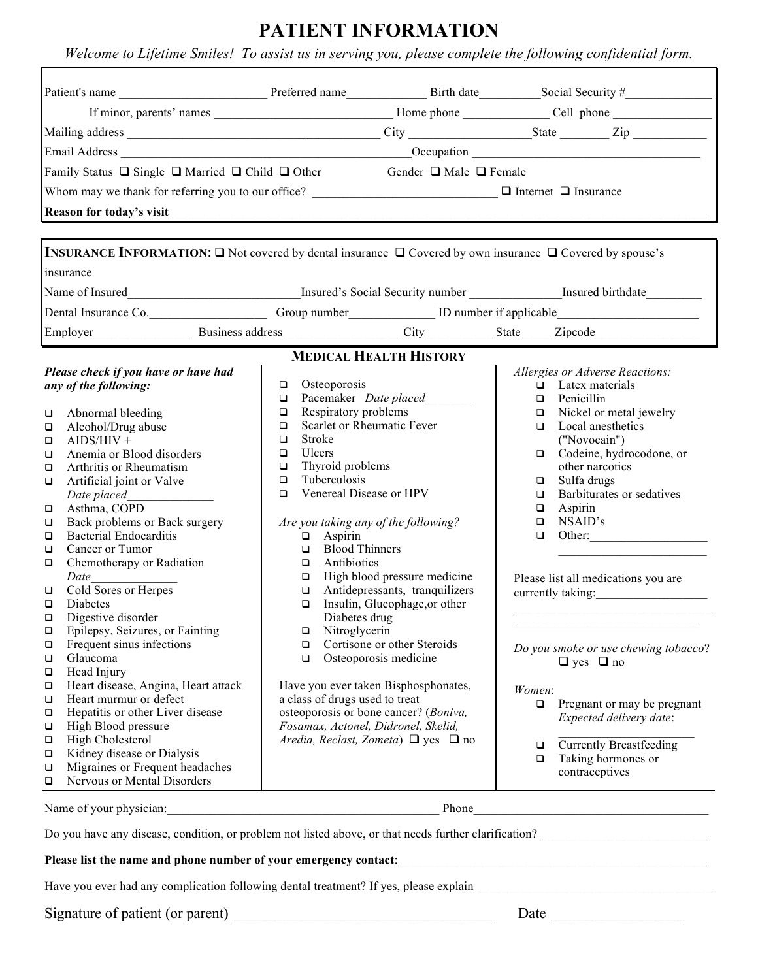## **PATIENT INFORMATION**

*Welcome to Lifetime Smiles! To assist us in serving you, please complete the following confidential form.*

| Family Status $\Box$ Single $\Box$ Married $\Box$ Child $\Box$ Other<br>Gender $\Box$ Male $\Box$ Female<br>Whom may we thank for referring you to our office?<br>Reason for today's visit<br><b>INSURANCE INFORMATION:</b> □ Not covered by dental insurance □ Covered by own insurance □ Covered by spouse's<br>Dental Insurance Co. Communication Communication Communication Communication Communication Communication Communication Communication Communication Communication Communication Communication Communication Communication Commu<br><b>MEDICAL HEALTH HISTORY</b><br>Please check if you have or have had<br>Allergies or Adverse Reactions:<br>Osteoporosis<br>$\Box$ Latex materials<br>any of the following:<br>$\Box$<br>Pacemaker Date placed_________<br>$\Box$ Penicillin<br>$\Box$<br>Respiratory problems<br>Nickel or metal jewelry<br>Abnormal bleeding<br>$\Box$<br>$\Box$<br>Scarlet or Rheumatic Fever<br>$\Box$ Local anesthetics<br>$\Box$<br>Alcohol/Drug abuse<br>Stroke<br>("Novocain")<br>$AIDS/HIV +$<br>$\Box$<br>Ulcers<br>$\Box$<br>Anemia or Blood disorders<br>$\Box$<br>Thyroid problems<br>other narcotics<br>Arthritis or Rheumatism<br>$\Box$<br>Tuberculosis<br>$\Box$<br>Sulfa drugs<br>Artificial joint or Valve<br>$\Box$<br>Venereal Disease or HPV<br>Barbiturates or sedatives<br>$\Box$<br>Date placed<br>$\Box$<br>Aspirin<br>Asthma, COPD<br>$\Box$<br>NSAID's<br>Back problems or Back surgery<br>Are you taking any of the following?<br>$\Box$<br><b>Bacterial Endocarditis</b><br>Aspirin<br>$\Box$<br>$\Box$<br><b>Blood Thinners</b><br>Cancer or Tumor<br>$\Box$<br>Chemotherapy or Radiation<br>Antibiotics<br>$\Box$<br>High blood pressure medicine<br>Date_<br>Cold Sores or Herpes<br>$\Box$<br>Please list all medications you are<br>Antidepressants, tranquilizers<br>$\Box$<br>currently taking:<br>Insulin, Glucophage, or other<br>Diabetes<br>$\Box$<br>Digestive disorder<br>Diabetes drug<br>Nitroglycerin<br>Epilepsy, Seizures, or Fainting<br>$\Box$<br>Frequent sinus infections<br>Cortisone or other Steroids<br>$\Box$<br>Do you smoke or use chewing tobacco?<br>Osteoporosis medicine<br>Glaucoma<br>$\Box$<br>$\Box$ yes $\Box$ no<br>Head Injury<br>Heart disease, Angina, Heart attack<br>Have you ever taken Bisphosphonates,<br>Women:<br>Heart murmur or defect<br>a class of drugs used to treat<br>$\Box$<br>osteoporosis or bone cancer? (Boniva,<br>Hepatitis or other Liver disease<br>Expected delivery date:<br>Fosamax, Actonel, Didronel, Skelid,<br>High Blood pressure<br>High Cholesterol<br>Aredia, Reclast, Zometa) $\Box$ yes $\Box$ no<br><b>Currently Breastfeeding</b><br>$\Box$<br>Kidney disease or Dialysis<br>Taking hormones or<br>$\Box$<br>Migraines or Frequent headaches<br>contraceptives<br>Nervous or Mental Disorders<br>Phone<br><u> 1989 - Johann Barbara, martxa alemaniar a</u> |                                                                                                                                     |  |  |  |                                    |
|----------------------------------------------------------------------------------------------------------------------------------------------------------------------------------------------------------------------------------------------------------------------------------------------------------------------------------------------------------------------------------------------------------------------------------------------------------------------------------------------------------------------------------------------------------------------------------------------------------------------------------------------------------------------------------------------------------------------------------------------------------------------------------------------------------------------------------------------------------------------------------------------------------------------------------------------------------------------------------------------------------------------------------------------------------------------------------------------------------------------------------------------------------------------------------------------------------------------------------------------------------------------------------------------------------------------------------------------------------------------------------------------------------------------------------------------------------------------------------------------------------------------------------------------------------------------------------------------------------------------------------------------------------------------------------------------------------------------------------------------------------------------------------------------------------------------------------------------------------------------------------------------------------------------------------------------------------------------------------------------------------------------------------------------------------------------------------------------------------------------------------------------------------------------------------------------------------------------------------------------------------------------------------------------------------------------------------------------------------------------------------------------------------------------------------------------------------------------------------------------------------------------------------------------------------------------------------------------------------------------------------------------------------------------------------------------------------------------------------------------------------------------------------------------------------------------------------------------------------------------------------------------------------------|-------------------------------------------------------------------------------------------------------------------------------------|--|--|--|------------------------------------|
|                                                                                                                                                                                                                                                                                                                                                                                                                                                                                                                                                                                                                                                                                                                                                                                                                                                                                                                                                                                                                                                                                                                                                                                                                                                                                                                                                                                                                                                                                                                                                                                                                                                                                                                                                                                                                                                                                                                                                                                                                                                                                                                                                                                                                                                                                                                                                                                                                                                                                                                                                                                                                                                                                                                                                                                                                                                                                                                |                                                                                                                                     |  |  |  |                                    |
|                                                                                                                                                                                                                                                                                                                                                                                                                                                                                                                                                                                                                                                                                                                                                                                                                                                                                                                                                                                                                                                                                                                                                                                                                                                                                                                                                                                                                                                                                                                                                                                                                                                                                                                                                                                                                                                                                                                                                                                                                                                                                                                                                                                                                                                                                                                                                                                                                                                                                                                                                                                                                                                                                                                                                                                                                                                                                                                |                                                                                                                                     |  |  |  |                                    |
|                                                                                                                                                                                                                                                                                                                                                                                                                                                                                                                                                                                                                                                                                                                                                                                                                                                                                                                                                                                                                                                                                                                                                                                                                                                                                                                                                                                                                                                                                                                                                                                                                                                                                                                                                                                                                                                                                                                                                                                                                                                                                                                                                                                                                                                                                                                                                                                                                                                                                                                                                                                                                                                                                                                                                                                                                                                                                                                |                                                                                                                                     |  |  |  |                                    |
|                                                                                                                                                                                                                                                                                                                                                                                                                                                                                                                                                                                                                                                                                                                                                                                                                                                                                                                                                                                                                                                                                                                                                                                                                                                                                                                                                                                                                                                                                                                                                                                                                                                                                                                                                                                                                                                                                                                                                                                                                                                                                                                                                                                                                                                                                                                                                                                                                                                                                                                                                                                                                                                                                                                                                                                                                                                                                                                |                                                                                                                                     |  |  |  |                                    |
|                                                                                                                                                                                                                                                                                                                                                                                                                                                                                                                                                                                                                                                                                                                                                                                                                                                                                                                                                                                                                                                                                                                                                                                                                                                                                                                                                                                                                                                                                                                                                                                                                                                                                                                                                                                                                                                                                                                                                                                                                                                                                                                                                                                                                                                                                                                                                                                                                                                                                                                                                                                                                                                                                                                                                                                                                                                                                                                |                                                                                                                                     |  |  |  |                                    |
|                                                                                                                                                                                                                                                                                                                                                                                                                                                                                                                                                                                                                                                                                                                                                                                                                                                                                                                                                                                                                                                                                                                                                                                                                                                                                                                                                                                                                                                                                                                                                                                                                                                                                                                                                                                                                                                                                                                                                                                                                                                                                                                                                                                                                                                                                                                                                                                                                                                                                                                                                                                                                                                                                                                                                                                                                                                                                                                |                                                                                                                                     |  |  |  |                                    |
|                                                                                                                                                                                                                                                                                                                                                                                                                                                                                                                                                                                                                                                                                                                                                                                                                                                                                                                                                                                                                                                                                                                                                                                                                                                                                                                                                                                                                                                                                                                                                                                                                                                                                                                                                                                                                                                                                                                                                                                                                                                                                                                                                                                                                                                                                                                                                                                                                                                                                                                                                                                                                                                                                                                                                                                                                                                                                                                |                                                                                                                                     |  |  |  |                                    |
|                                                                                                                                                                                                                                                                                                                                                                                                                                                                                                                                                                                                                                                                                                                                                                                                                                                                                                                                                                                                                                                                                                                                                                                                                                                                                                                                                                                                                                                                                                                                                                                                                                                                                                                                                                                                                                                                                                                                                                                                                                                                                                                                                                                                                                                                                                                                                                                                                                                                                                                                                                                                                                                                                                                                                                                                                                                                                                                |                                                                                                                                     |  |  |  |                                    |
|                                                                                                                                                                                                                                                                                                                                                                                                                                                                                                                                                                                                                                                                                                                                                                                                                                                                                                                                                                                                                                                                                                                                                                                                                                                                                                                                                                                                                                                                                                                                                                                                                                                                                                                                                                                                                                                                                                                                                                                                                                                                                                                                                                                                                                                                                                                                                                                                                                                                                                                                                                                                                                                                                                                                                                                                                                                                                                                |                                                                                                                                     |  |  |  |                                    |
|                                                                                                                                                                                                                                                                                                                                                                                                                                                                                                                                                                                                                                                                                                                                                                                                                                                                                                                                                                                                                                                                                                                                                                                                                                                                                                                                                                                                                                                                                                                                                                                                                                                                                                                                                                                                                                                                                                                                                                                                                                                                                                                                                                                                                                                                                                                                                                                                                                                                                                                                                                                                                                                                                                                                                                                                                                                                                                                | insurance                                                                                                                           |  |  |  |                                    |
|                                                                                                                                                                                                                                                                                                                                                                                                                                                                                                                                                                                                                                                                                                                                                                                                                                                                                                                                                                                                                                                                                                                                                                                                                                                                                                                                                                                                                                                                                                                                                                                                                                                                                                                                                                                                                                                                                                                                                                                                                                                                                                                                                                                                                                                                                                                                                                                                                                                                                                                                                                                                                                                                                                                                                                                                                                                                                                                |                                                                                                                                     |  |  |  |                                    |
|                                                                                                                                                                                                                                                                                                                                                                                                                                                                                                                                                                                                                                                                                                                                                                                                                                                                                                                                                                                                                                                                                                                                                                                                                                                                                                                                                                                                                                                                                                                                                                                                                                                                                                                                                                                                                                                                                                                                                                                                                                                                                                                                                                                                                                                                                                                                                                                                                                                                                                                                                                                                                                                                                                                                                                                                                                                                                                                |                                                                                                                                     |  |  |  |                                    |
|                                                                                                                                                                                                                                                                                                                                                                                                                                                                                                                                                                                                                                                                                                                                                                                                                                                                                                                                                                                                                                                                                                                                                                                                                                                                                                                                                                                                                                                                                                                                                                                                                                                                                                                                                                                                                                                                                                                                                                                                                                                                                                                                                                                                                                                                                                                                                                                                                                                                                                                                                                                                                                                                                                                                                                                                                                                                                                                |                                                                                                                                     |  |  |  |                                    |
|                                                                                                                                                                                                                                                                                                                                                                                                                                                                                                                                                                                                                                                                                                                                                                                                                                                                                                                                                                                                                                                                                                                                                                                                                                                                                                                                                                                                                                                                                                                                                                                                                                                                                                                                                                                                                                                                                                                                                                                                                                                                                                                                                                                                                                                                                                                                                                                                                                                                                                                                                                                                                                                                                                                                                                                                                                                                                                                |                                                                                                                                     |  |  |  |                                    |
|                                                                                                                                                                                                                                                                                                                                                                                                                                                                                                                                                                                                                                                                                                                                                                                                                                                                                                                                                                                                                                                                                                                                                                                                                                                                                                                                                                                                                                                                                                                                                                                                                                                                                                                                                                                                                                                                                                                                                                                                                                                                                                                                                                                                                                                                                                                                                                                                                                                                                                                                                                                                                                                                                                                                                                                                                                                                                                                | $\Box$<br>$\Box$<br>$\Box$<br>$\Box$<br>$\Box$<br>$\Box$<br>$\Box$<br>$\Box$<br>$\Box$<br>$\Box$<br>$\Box$                          |  |  |  | Codeine, hydrocodone, or<br>Other: |
|                                                                                                                                                                                                                                                                                                                                                                                                                                                                                                                                                                                                                                                                                                                                                                                                                                                                                                                                                                                                                                                                                                                                                                                                                                                                                                                                                                                                                                                                                                                                                                                                                                                                                                                                                                                                                                                                                                                                                                                                                                                                                                                                                                                                                                                                                                                                                                                                                                                                                                                                                                                                                                                                                                                                                                                                                                                                                                                | □<br>$\Box$<br>$\Box$<br>$\Box$<br>$\Box$<br>$\Box$<br>❏<br>$\Box$<br>$\Box$<br>$\Box$<br>$\Box$<br>$\Box$<br>❏<br>$\Box$<br>$\Box$ |  |  |  | Pregnant or may be pregnant        |
|                                                                                                                                                                                                                                                                                                                                                                                                                                                                                                                                                                                                                                                                                                                                                                                                                                                                                                                                                                                                                                                                                                                                                                                                                                                                                                                                                                                                                                                                                                                                                                                                                                                                                                                                                                                                                                                                                                                                                                                                                                                                                                                                                                                                                                                                                                                                                                                                                                                                                                                                                                                                                                                                                                                                                                                                                                                                                                                | Name of your physician:                                                                                                             |  |  |  |                                    |
| Do you have any disease, condition, or problem not listed above, or that needs further clarification?                                                                                                                                                                                                                                                                                                                                                                                                                                                                                                                                                                                                                                                                                                                                                                                                                                                                                                                                                                                                                                                                                                                                                                                                                                                                                                                                                                                                                                                                                                                                                                                                                                                                                                                                                                                                                                                                                                                                                                                                                                                                                                                                                                                                                                                                                                                                                                                                                                                                                                                                                                                                                                                                                                                                                                                                          |                                                                                                                                     |  |  |  |                                    |

**Please list the name and phone number of your emergency contact**:\_\_\_\_\_\_\_\_\_\_\_\_\_\_\_\_\_\_\_\_\_\_\_\_\_\_\_\_\_\_\_\_\_\_\_\_\_\_\_\_\_\_\_\_\_\_\_\_\_\_

Have you ever had any complication following dental treatment? If yes, please explain

Signature of patient (or parent) \_\_\_\_\_\_\_\_\_\_\_\_\_\_\_\_\_\_\_\_\_\_\_\_\_\_\_\_\_\_\_\_\_\_\_ Date \_\_\_\_\_\_\_\_\_\_\_\_\_\_\_\_\_\_